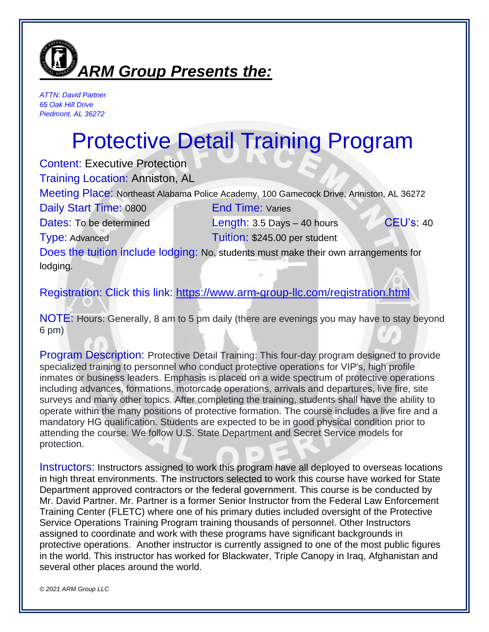

*ATTN: David Partner 65 Oak Hill Drive Piedmont, AL 36272*

## Protective Detail Training Program

Content: Executive Protection

Training Location: Anniston, AL

Meeting Place: Northeast Alabama Police Academy, 100 Gamecock Drive, Anniston, AL 36272

Daily Start Time: 0800 End Time: Varies

Dates: To be determined Length: 3.5 Days – 40 hours CEU's: 40 Type: Advanced Tuition: \$245.00 per student

Does the tuition include lodging: No, students must make their own arrangements for lodging.

Registration: Click this link:<https://www.arm-group-llc.com/registration.html>

NOTE: Hours: Generally, 8 am to 5 pm daily (there are evenings you may have to stay beyond 6 pm)

Program Description: Protective Detail Training: This four-day program designed to provide specialized training to personnel who conduct protective operations for VIP's, high profile inmates or business leaders. Emphasis is placed on a wide spectrum of protective operations including advances, formations, motorcade operations, arrivals and departures, live fire, site surveys and many other topics. After completing the training, students shall have the ability to operate within the many positions of protective formation. The course includes a live fire and a mandatory HG qualification. Students are expected to be in good physical condition prior to attending the course. We follow U.S. State Department and Secret Service models for protection.

Instructors: Instructors assigned to work this program have all deployed to overseas locations in high threat environments. The instructors selected to work this course have worked for State Department approved contractors or the federal government. This course is be conducted by Mr. David Partner. Mr. Partner is a former Senior Instructor from the Federal Law Enforcement Training Center (FLETC) where one of his primary duties included oversight of the Protective Service Operations Training Program training thousands of personnel. Other Instructors assigned to coordinate and work with these programs have significant backgrounds in protective operations. Another instructor is currently assigned to one of the most public figures in the world. This instructor has worked for Blackwater, Triple Canopy in Iraq, Afghanistan and several other places around the world.

*© 2021 ARM Group LLC*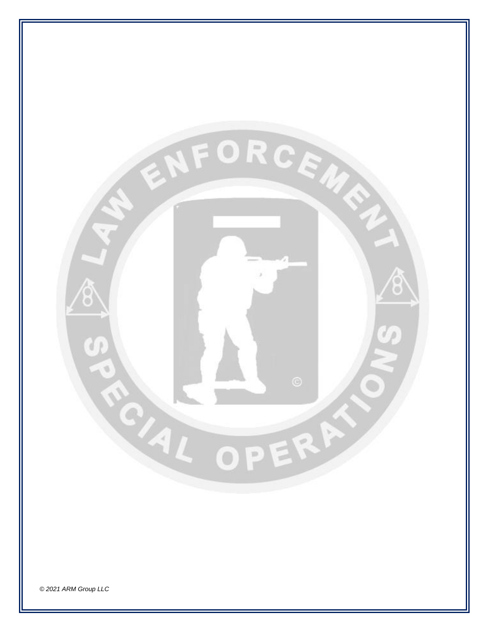